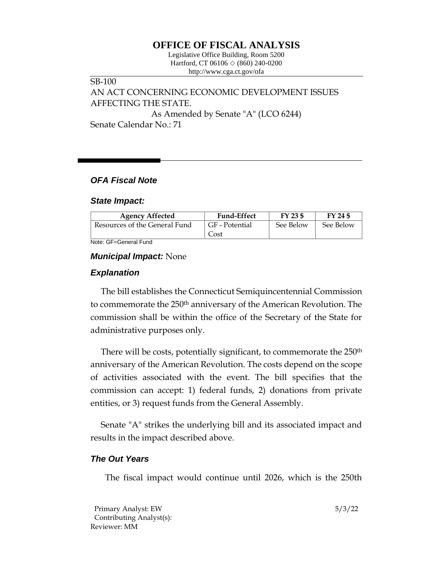# **OFFICE OF FISCAL ANALYSIS**

Legislative Office Building, Room 5200 Hartford, CT 06106  $\Diamond$  (860) 240-0200 http://www.cga.ct.gov/ofa

# SB-100 AN ACT CONCERNING ECONOMIC DEVELOPMENT ISSUES AFFECTING THE STATE. As Amended by Senate "A" (LCO 6244) Senate Calendar No.: 71

### *OFA Fiscal Note*

#### *State Impact:*

| <b>Agency Affected</b>        | <b>Fund-Effect</b> | $FY$ 23 \$ | FY 24 \$  |
|-------------------------------|--------------------|------------|-----------|
| Resources of the General Fund | GF - Potential     | See Below  | See Below |
|                               | Cost               |            |           |

Note: GF=General Fund

#### *Municipal Impact:* None

### *Explanation*

The bill establishes the Connecticut Semiquincentennial Commission to commemorate the 250<sup>th</sup> anniversary of the American Revolution. The commission shall be within the office of the Secretary of the State for administrative purposes only.

There will be costs, potentially significant, to commemorate the 250<sup>th</sup> anniversary of the American Revolution. The costs depend on the scope of activities associated with the event. The bill specifies that the commission can accept: 1) federal funds, 2) donations from private entities, or 3) request funds from the General Assembly.

Senate "A" strikes the underlying bill and its associated impact and results in the impact described above.

#### *The Out Years*

The fiscal impact would continue until 2026, which is the 250th

Primary Analyst: EW 5/3/22 Contributing Analyst(s): Reviewer: MM